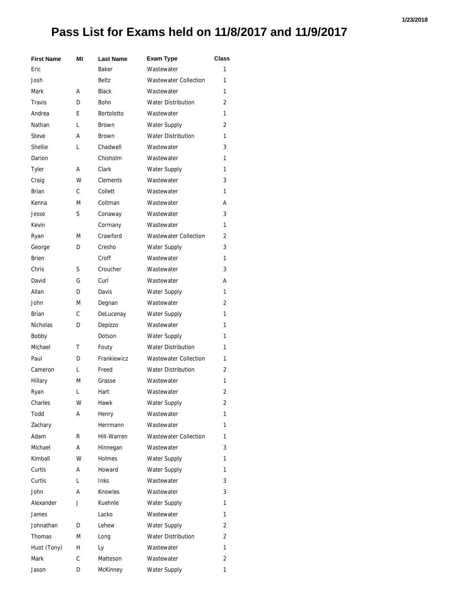## **Pass List for Exams held on 11/8/2017 and 11/9/2017**

| <b>First Name</b> | ΜI | <b>Last Name</b>  | <b>Exam Type</b>             | <b>Class</b> |
|-------------------|----|-------------------|------------------------------|--------------|
| Eric              |    | Baker             | Wastewater                   | 1            |
| Josh              |    | Beltz             | <b>Wastewater Collection</b> | 1            |
| Mark              | А  | <b>Black</b>      | Wastewater                   | 1            |
| <b>Travis</b>     | D  | <b>Bohn</b>       | <b>Water Distribution</b>    | 2            |
| Andrea            | E  | <b>Bortolotto</b> | Wastewater                   | 1            |
| Nathan            | L  | <b>Brown</b>      | <b>Water Supply</b>          | 2            |
| <b>Steve</b>      | А  | <b>Brown</b>      | <b>Water Distribution</b>    | 1            |
| Shellie           | L  | Chadwell          | Wastewater                   | 3            |
| Darion            |    | Chisholm          | Wastewater                   | 1            |
| <b>Tyler</b>      | А  | Clark             | <b>Water Supply</b>          | 1            |
| Craig             | w  | <b>Clements</b>   | Wastewater                   | 3            |
| <b>Brian</b>      | C  | Collett           | Wastewater                   | 1            |
| Kenna             | М  | Coltman           | Wastewater                   | А            |
| Jesse             | S  | Conaway           | Wastewater                   | 3            |
| Kevin             |    | Cormany           | Wastewater                   | 1            |
| Ryan              | М  | Crawford          | <b>Wastewater Collection</b> | 2            |
| George            | D  | Cresho            | <b>Water Supply</b>          | 3            |
| <b>Brien</b>      |    | Croff             | Wastewater                   | 1            |
| Chris             | S  | Croucher          | Wastewater                   | 3            |
| David             | G  | Curl              | Wastewater                   | А            |
| Allan             | D  | Davis             | <b>Water Supply</b>          | 1            |
| John              | М  | Degnan            | Wastewater                   | 2            |
| Brian             | C  | DeLucenay         | <b>Water Supply</b>          | 1            |
| <b>Nicholas</b>   | D  | Depizzo           | Wastewater                   | 1            |
| Bobby             |    | Dotson            | <b>Water Supply</b>          | 1            |
| Michael           | т  | Fouty             | <b>Water Distribution</b>    | 1            |
| Paul              | D  | Frankiewicz       | <b>Wastewater Collection</b> | 1            |
| Cameron           | L  | Freed             | <b>Water Distribution</b>    | 2            |
| Hillary           | М  | Grasse            | Wastewater                   | 1            |
| Ryan              | L  | Hart              | Wastewater                   | 2            |
| Charles           | W  | Hawk              | <b>Water Supply</b>          | 2            |
| Todd              | А  | Henry             | Wastewater                   | 1            |
| Zachary           |    | Herrmann          | Wastewater                   | 1            |
| Adam              | R  | Hill-Warren       | <b>Wastewater Collection</b> | 1            |
| Michael           | А  | Hinnegan          | Wastewater                   | 3            |
| Kimball           | w  | <b>Holmes</b>     | <b>Water Supply</b>          | 1            |
| Curtis            | А  | Howard            | Water Supply                 | 1            |
| Curtis            | L  | Inks              | Wastewater                   | 3            |
| John              | А  | Knowles           | Wastewater                   | 3            |
| Alexander         | J  | Kuehnle           | <b>Water Supply</b>          | 1            |
| James             |    | Lacko             | Wastewater                   | 1            |
| Johnathan         | D  | Lehew             | Water Supply                 | 2            |
| Thomas            | Μ  | Long              | <b>Water Distribution</b>    | 2            |
| Huot (Tony)       | н  | Ly                | Wastewater                   | 1            |
| Mark              | С  | Matteson          | Wastewater                   | 2            |
| Jason             | D  | McKinney          | Water Supply                 | 1            |